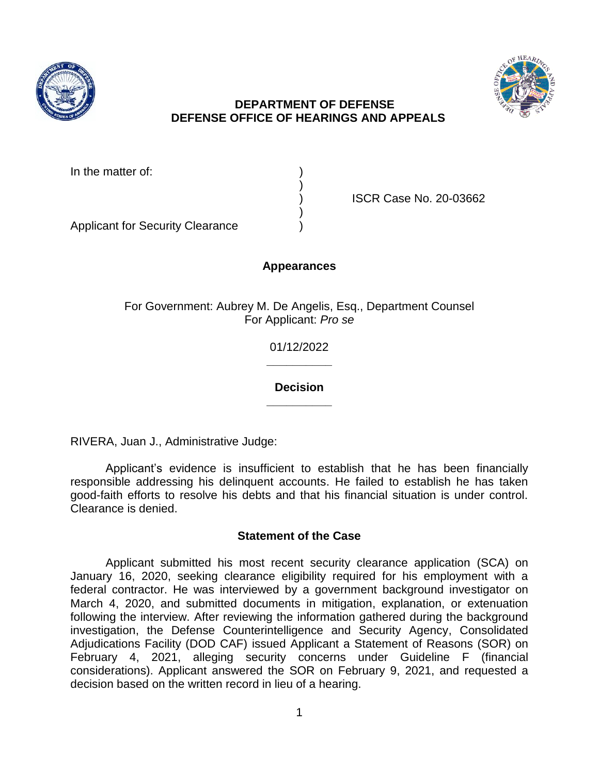



# **DEPARTMENT OF DEFENSE DEFENSE OFFICE OF HEARINGS AND APPEALS**

In the matter of:

) ISCR Case No. 20-03662

Applicant for Security Clearance )

## **Appearances**

)

)

For Government: Aubrey M. De Angelis, Esq., Department Counsel For Applicant: *Pro se*

> 01/12/2022 **\_\_\_\_\_\_\_\_\_\_**

> **Decision \_\_\_\_\_\_\_\_\_\_**

RIVERA, Juan J., Administrative Judge:

Applicant's evidence is insufficient to establish that he has been financially responsible addressing his delinquent accounts. He failed to establish he has taken good-faith efforts to resolve his debts and that his financial situation is under control. Clearance is denied.

## **Statement of the Case**

Applicant submitted his most recent security clearance application (SCA) on January 16, 2020, seeking clearance eligibility required for his employment with a federal contractor. He was interviewed by a government background investigator on March 4, 2020, and submitted documents in mitigation, explanation, or extenuation following the interview. After reviewing the information gathered during the background investigation, the Defense Counterintelligence and Security Agency, Consolidated Adjudications Facility (DOD CAF) issued Applicant a Statement of Reasons (SOR) on February 4, 2021, alleging security concerns under Guideline F (financial considerations). Applicant answered the SOR on February 9, 2021, and requested a decision based on the written record in lieu of a hearing.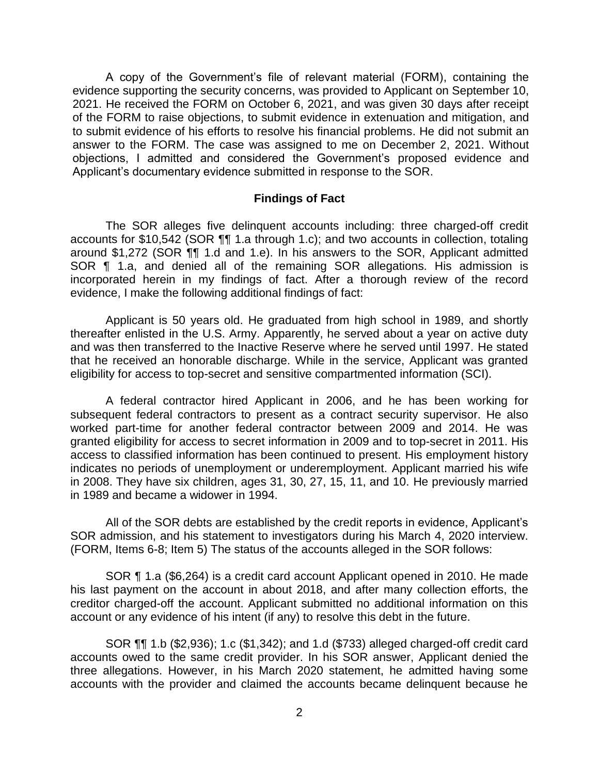A copy of the Government's file of relevant material (FORM), containing the evidence supporting the security concerns, was provided to Applicant on September 10, 2021. He received the FORM on October 6, 2021, and was given 30 days after receipt of the FORM to raise objections, to submit evidence in extenuation and mitigation, and to submit evidence of his efforts to resolve his financial problems. He did not submit an answer to the FORM. The case was assigned to me on December 2, 2021. Without objections, I admitted and considered the Government's proposed evidence and Applicant's documentary evidence submitted in response to the SOR.

#### **Findings of Fact**

The SOR alleges five delinquent accounts including: three charged-off credit accounts for \$10,542 (SOR ¶¶ 1.a through 1.c); and two accounts in collection, totaling around \$1,272 (SOR ¶¶ 1.d and 1.e). In his answers to the SOR, Applicant admitted SOR ¶ 1.a, and denied all of the remaining SOR allegations. His admission is incorporated herein in my findings of fact. After a thorough review of the record evidence, I make the following additional findings of fact:

Applicant is 50 years old. He graduated from high school in 1989, and shortly thereafter enlisted in the U.S. Army. Apparently, he served about a year on active duty and was then transferred to the Inactive Reserve where he served until 1997. He stated that he received an honorable discharge. While in the service, Applicant was granted eligibility for access to top-secret and sensitive compartmented information (SCI).

A federal contractor hired Applicant in 2006, and he has been working for subsequent federal contractors to present as a contract security supervisor. He also worked part-time for another federal contractor between 2009 and 2014. He was granted eligibility for access to secret information in 2009 and to top-secret in 2011. His access to classified information has been continued to present. His employment history indicates no periods of unemployment or underemployment. Applicant married his wife in 2008. They have six children, ages 31, 30, 27, 15, 11, and 10. He previously married in 1989 and became a widower in 1994.

All of the SOR debts are established by the credit reports in evidence, Applicant's SOR admission, and his statement to investigators during his March 4, 2020 interview. (FORM, Items 6-8; Item 5) The status of the accounts alleged in the SOR follows:

SOR ¶ 1.a (\$6,264) is a credit card account Applicant opened in 2010. He made his last payment on the account in about 2018, and after many collection efforts, the creditor charged-off the account. Applicant submitted no additional information on this account or any evidence of his intent (if any) to resolve this debt in the future.

SOR ¶¶ 1.b (\$2,936); 1.c (\$1,342); and 1.d (\$733) alleged charged-off credit card accounts owed to the same credit provider. In his SOR answer, Applicant denied the three allegations. However, in his March 2020 statement, he admitted having some accounts with the provider and claimed the accounts became delinquent because he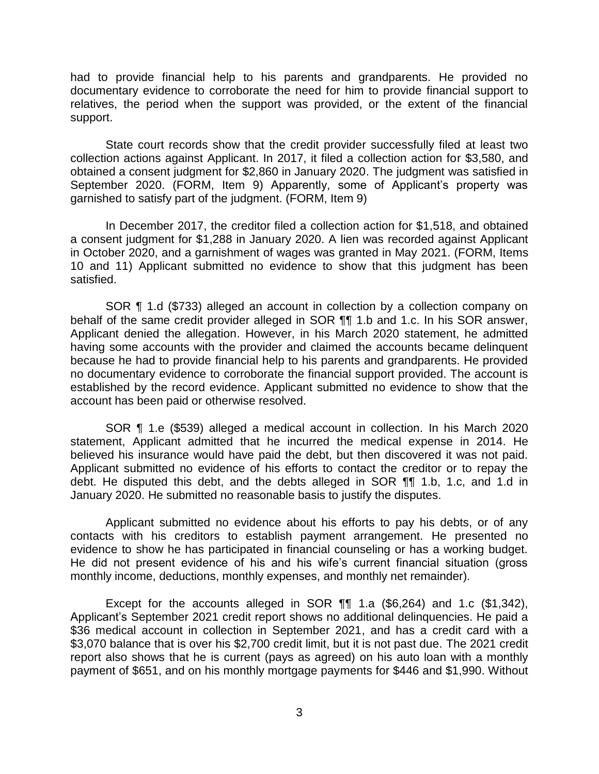had to provide financial help to his parents and grandparents. He provided no documentary evidence to corroborate the need for him to provide financial support to relatives, the period when the support was provided, or the extent of the financial support.

State court records show that the credit provider successfully filed at least two collection actions against Applicant. In 2017, it filed a collection action for \$3,580, and obtained a consent judgment for \$2,860 in January 2020. The judgment was satisfied in September 2020. (FORM, Item 9) Apparently, some of Applicant's property was garnished to satisfy part of the judgment. (FORM, Item 9)

In December 2017, the creditor filed a collection action for \$1,518, and obtained a consent judgment for \$1,288 in January 2020. A lien was recorded against Applicant in October 2020, and a garnishment of wages was granted in May 2021. (FORM, Items 10 and 11) Applicant submitted no evidence to show that this judgment has been satisfied.

SOR ¶ 1.d (\$733) alleged an account in collection by a collection company on behalf of the same credit provider alleged in SOR ¶¶ 1.b and 1.c. In his SOR answer, Applicant denied the allegation. However, in his March 2020 statement, he admitted having some accounts with the provider and claimed the accounts became delinquent because he had to provide financial help to his parents and grandparents. He provided no documentary evidence to corroborate the financial support provided. The account is established by the record evidence. Applicant submitted no evidence to show that the account has been paid or otherwise resolved.

SOR ¶ 1.e (\$539) alleged a medical account in collection. In his March 2020 statement, Applicant admitted that he incurred the medical expense in 2014. He believed his insurance would have paid the debt, but then discovered it was not paid. Applicant submitted no evidence of his efforts to contact the creditor or to repay the debt. He disputed this debt, and the debts alleged in SOR ¶¶ 1.b, 1.c, and 1.d in January 2020. He submitted no reasonable basis to justify the disputes.

Applicant submitted no evidence about his efforts to pay his debts, or of any contacts with his creditors to establish payment arrangement. He presented no evidence to show he has participated in financial counseling or has a working budget. He did not present evidence of his and his wife's current financial situation (gross monthly income, deductions, monthly expenses, and monthly net remainder).

Except for the accounts alleged in SOR ¶¶ 1.a (\$6,264) and 1.c (\$1,342), Applicant's September 2021 credit report shows no additional delinquencies. He paid a \$36 medical account in collection in September 2021, and has a credit card with a \$3,070 balance that is over his \$2,700 credit limit, but it is not past due. The 2021 credit report also shows that he is current (pays as agreed) on his auto loan with a monthly payment of \$651, and on his monthly mortgage payments for \$446 and \$1,990. Without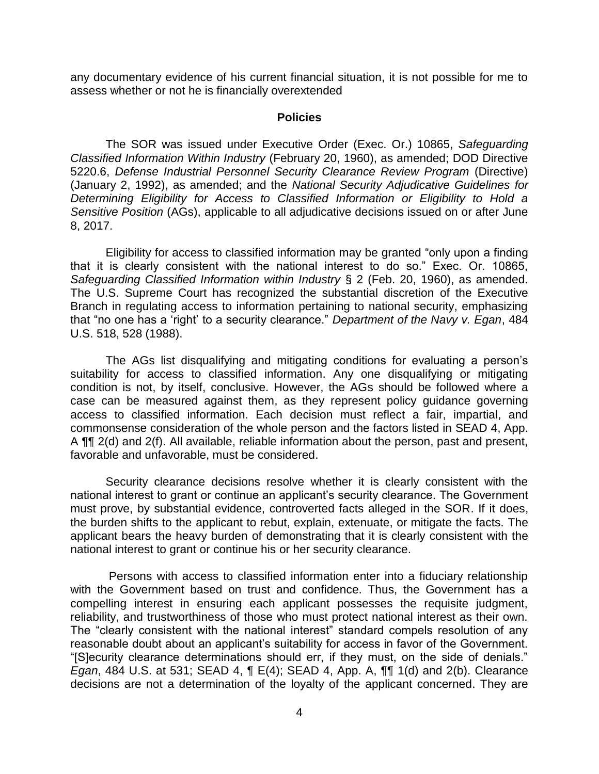any documentary evidence of his current financial situation, it is not possible for me to assess whether or not he is financially overextended

#### **Policies**

The SOR was issued under Executive Order (Exec. Or.) 10865, *Safeguarding Classified Information Within Industry* (February 20, 1960), as amended; DOD Directive 5220.6, *Defense Industrial Personnel Security Clearance Review Program* (Directive) (January 2, 1992), as amended; and the *National Security Adjudicative Guidelines for Determining Eligibility for Access to Classified Information or Eligibility to Hold a Sensitive Position* (AGs), applicable to all adjudicative decisions issued on or after June 8, 2017.

Eligibility for access to classified information may be granted "only upon a finding that it is clearly consistent with the national interest to do so." Exec. Or. 10865, *Safeguarding Classified Information within Industry* § 2 (Feb. 20, 1960), as amended. The U.S. Supreme Court has recognized the substantial discretion of the Executive Branch in regulating access to information pertaining to national security, emphasizing that "no one has a 'right' to a security clearance." *Department of the Navy v. Egan*, 484 U.S. 518, 528 (1988).

The AGs list disqualifying and mitigating conditions for evaluating a person's suitability for access to classified information. Any one disqualifying or mitigating condition is not, by itself, conclusive. However, the AGs should be followed where a case can be measured against them, as they represent policy guidance governing access to classified information. Each decision must reflect a fair, impartial, and commonsense consideration of the whole person and the factors listed in SEAD 4, App. A ¶¶ 2(d) and 2(f). All available, reliable information about the person, past and present, favorable and unfavorable, must be considered.

Security clearance decisions resolve whether it is clearly consistent with the national interest to grant or continue an applicant's security clearance. The Government must prove, by substantial evidence, controverted facts alleged in the SOR. If it does, the burden shifts to the applicant to rebut, explain, extenuate, or mitigate the facts. The applicant bears the heavy burden of demonstrating that it is clearly consistent with the national interest to grant or continue his or her security clearance.

 Persons with access to classified information enter into a fiduciary relationship with the Government based on trust and confidence. Thus, the Government has a compelling interest in ensuring each applicant possesses the requisite judgment, reliability, and trustworthiness of those who must protect national interest as their own. The "clearly consistent with the national interest" standard compels resolution of any reasonable doubt about an applicant's suitability for access in favor of the Government. "[S]ecurity clearance determinations should err, if they must, on the side of denials." *Egan*, 484 U.S. at 531; SEAD 4, ¶ E(4); SEAD 4, App. A, ¶¶ 1(d) and 2(b). Clearance decisions are not a determination of the loyalty of the applicant concerned. They are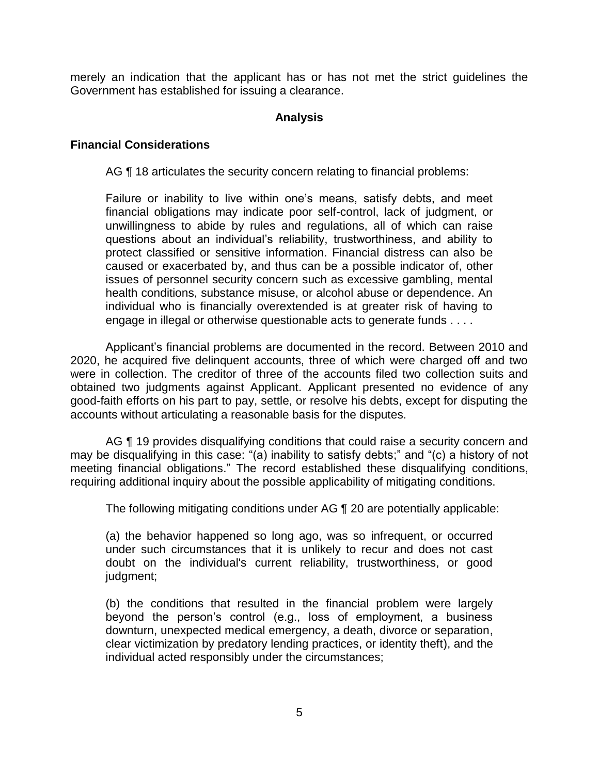merely an indication that the applicant has or has not met the strict guidelines the Government has established for issuing a clearance.

### **Analysis**

#### **Financial Considerations**

AG  $\P$  18 articulates the security concern relating to financial problems:

Failure or inability to live within one's means, satisfy debts, and meet financial obligations may indicate poor self-control, lack of judgment, or unwillingness to abide by rules and regulations, all of which can raise questions about an individual's reliability, trustworthiness, and ability to protect classified or sensitive information. Financial distress can also be caused or exacerbated by, and thus can be a possible indicator of, other issues of personnel security concern such as excessive gambling, mental health conditions, substance misuse, or alcohol abuse or dependence. An individual who is financially overextended is at greater risk of having to engage in illegal or otherwise questionable acts to generate funds . . . .

Applicant's financial problems are documented in the record. Between 2010 and 2020, he acquired five delinquent accounts, three of which were charged off and two were in collection. The creditor of three of the accounts filed two collection suits and obtained two judgments against Applicant. Applicant presented no evidence of any good-faith efforts on his part to pay, settle, or resolve his debts, except for disputing the accounts without articulating a reasonable basis for the disputes.

AG ¶ 19 provides disqualifying conditions that could raise a security concern and may be disqualifying in this case: "(a) inability to satisfy debts;" and "(c) a history of not meeting financial obligations." The record established these disqualifying conditions, requiring additional inquiry about the possible applicability of mitigating conditions.

The following mitigating conditions under AG ¶ 20 are potentially applicable:

(a) the behavior happened so long ago, was so infrequent, or occurred under such circumstances that it is unlikely to recur and does not cast doubt on the individual's current reliability, trustworthiness, or good judgment;

(b) the conditions that resulted in the financial problem were largely beyond the person's control (e.g., loss of employment, a business downturn, unexpected medical emergency, a death, divorce or separation, clear victimization by predatory lending practices, or identity theft), and the individual acted responsibly under the circumstances;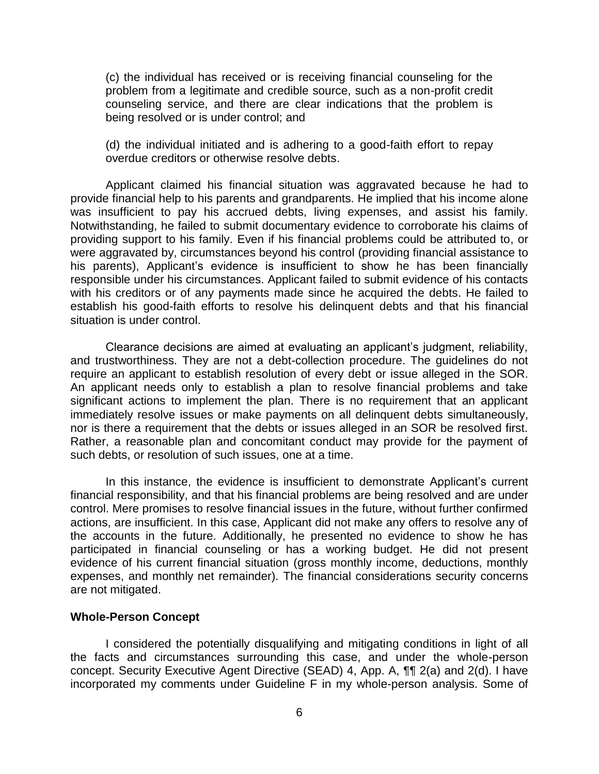(c) the individual has received or is receiving financial counseling for the problem from a legitimate and credible source, such as a non-profit credit counseling service, and there are clear indications that the problem is being resolved or is under control; and

(d) the individual initiated and is adhering to a good-faith effort to repay overdue creditors or otherwise resolve debts.

Applicant claimed his financial situation was aggravated because he had to provide financial help to his parents and grandparents. He implied that his income alone was insufficient to pay his accrued debts, living expenses, and assist his family. Notwithstanding, he failed to submit documentary evidence to corroborate his claims of providing support to his family. Even if his financial problems could be attributed to, or were aggravated by, circumstances beyond his control (providing financial assistance to his parents), Applicant's evidence is insufficient to show he has been financially responsible under his circumstances. Applicant failed to submit evidence of his contacts with his creditors or of any payments made since he acquired the debts. He failed to establish his good-faith efforts to resolve his delinquent debts and that his financial situation is under control.

Clearance decisions are aimed at evaluating an applicant's judgment, reliability, and trustworthiness. They are not a debt-collection procedure. The guidelines do not require an applicant to establish resolution of every debt or issue alleged in the SOR. An applicant needs only to establish a plan to resolve financial problems and take significant actions to implement the plan. There is no requirement that an applicant immediately resolve issues or make payments on all delinquent debts simultaneously, nor is there a requirement that the debts or issues alleged in an SOR be resolved first. Rather, a reasonable plan and concomitant conduct may provide for the payment of such debts, or resolution of such issues, one at a time.

In this instance, the evidence is insufficient to demonstrate Applicant's current financial responsibility, and that his financial problems are being resolved and are under control. Mere promises to resolve financial issues in the future, without further confirmed actions, are insufficient. In this case, Applicant did not make any offers to resolve any of the accounts in the future. Additionally, he presented no evidence to show he has participated in financial counseling or has a working budget. He did not present evidence of his current financial situation (gross monthly income, deductions, monthly expenses, and monthly net remainder). The financial considerations security concerns are not mitigated.

#### **Whole-Person Concept**

I considered the potentially disqualifying and mitigating conditions in light of all the facts and circumstances surrounding this case, and under the whole-person concept. Security Executive Agent Directive (SEAD) 4, App. A, ¶¶ 2(a) and 2(d). I have incorporated my comments under Guideline F in my whole-person analysis. Some of